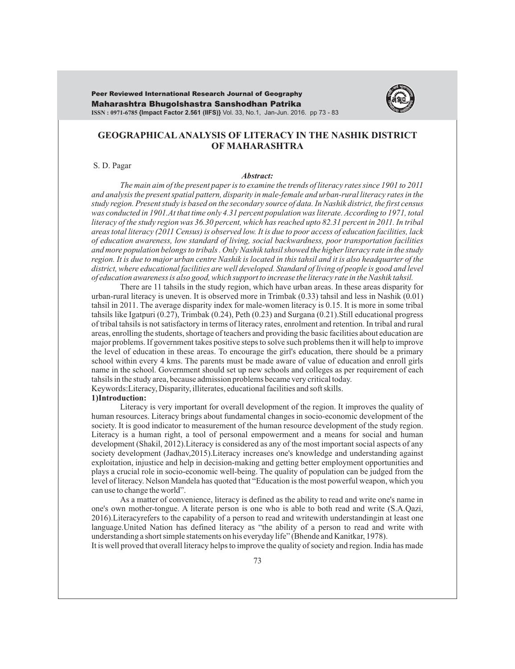Maharashtra Bhugolshastra Sanshodhan Patrika **ISSN : 0971-6785 {Impact Factor 2.561 (IIFS)}** Vol. 33, No.1, Jan-Jun. 2016. pp 73 - 83 Peer Reviewed International Research Journal of Geography



# **GEOGRAPHICALANALYSIS OF LITERACY IN THE NASHIK DISTRICT OF MAHARASHTRA**

#### S. D. Pagar

#### *Abstract:*

*The main aim of the present paper is to examine the trends of literacy rates since 1901 to 2011 and analysis the present spatial pattern, disparity in male-female and urban-rural literacy rates in the study region. Present study is based on the secondary source of data. In Nashik district, the first census was conducted in 1901.At that time only 4.31 percent population was literate. According to 1971, total literacy of the study region was 36.30 percent, which has reached upto 82.31 percent in 2011. In tribal areas total literacy (2011 Census) is observed low. It is due to poor access of education facilities, lack of education awareness, low standard of living, social backwardness, poor transportation facilities and more population belongs to tribals . Only Nashik tahsil showed the higher literacy rate in the study region. It is due to major urban centre Nashik is located in this tahsil and it is also headquarter of the district, where educational facilities are well developed. Standard of living of people is good and level of education awareness is also good, which support to increase the literacy rate in the Nashik tahsil.*

There are 11 tahsils in the study region, which have urban areas. In these areas disparity for urban-rural literacy is uneven. It is observed more in Trimbak (0.33) tahsil and less in Nashik (0.01) tahsil in 2011. The average disparity index for male-women literacy is 0.15. It is more in some tribal tahsils like Igatpuri (0.27), Trimbak (0.24), Peth (0.23) and Surgana (0.21).Still educational progress of tribal tahsils is not satisfactory in terms of literacy rates, enrolment and retention. In tribal and rural areas, enrolling the students, shortage of teachers and providing the basic facilities about education are major problems. If government takes positive steps to solve such problems then it will help to improve the level of education in these areas. To encourage the girl's education, there should be a primary school within every 4 kms. The parents must be made aware of value of education and enroll girls name in the school. Government should set up new schools and colleges as per requirement of each tahsils in the study area, because admission problems became very critical today. Keywords:Literacy, Disparity, illiterates, educational facilities and soft skills.

#### **1)Introduction:**

Literacy is very important for overall development of the region. It improves the quality of human resources. Literacy brings about fundamental changes in socio-economic development of the society. It is good indicator to measurement of the human resource development of the study region. Literacy is a human right, a tool of personal empowerment and a means for social and human development (Shakil, 2012).Literacy is considered as any of the most important social aspects of any society development (Jadhav,2015).Literacy increases one's knowledge and understanding against exploitation, injustice and help in decision-making and getting better employment opportunities and plays a crucial role in socio-economic well-being. The quality of population can be judged from the level of literacy. Nelson Mandela has quoted that "Education is the most powerful weapon, which you can use to change the world".

As a matter of convenience, literacy is defined as the ability to read and write one's name in one's own mother-tongue. A literate person is one who is able to both read and write (S.A.Qazi, 2016).Literacyrefers to the capability of a person to read and writewith understandingin at least one language.United Nation has defined literacy as "the ability of a person to read and write with understanding a short simple statements on his everyday life" (Bhende and Kanitkar, 1978).

It is well proved that overall literacy helps to improve the quality of society and region. India has made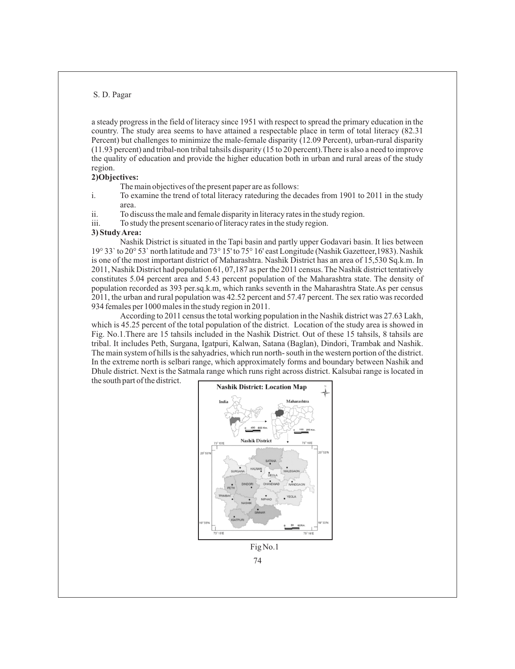a steady progress in the field of literacy since 1951 with respect to spread the primary education in the country. The study area seems to have attained a respectable place in term of total literacy (82.31 Percent) but challenges to minimize the male-female disparity (12.09 Percent), urban-rural disparity (11.93 percent) and tribal-non tribal tahsils disparity (15 to 20 percent).There is also a need to improve the quality of education and provide the higher education both in urban and rural areas of the study region.

### **2)Objectives:**

The main objectives of the present paper are as follows:

- i. To examine the trend of total literacy rateduring the decades from 1901 to 2011 in the study area.
- ii. To discuss the male and female disparity in literacy rates in the study region.
- iii. To study the present scenario of literacy rates in the study region.

#### **3) Study Area:**

Nashik District is situated in the Tapi basin and partly upper Godavari basin. It lies between 19° 33` to 20° 53` north latitude and 73° 15' to 75° 16' east Longitude (Nashik Gazetteer,1983). Nashik is one of the most important district of Maharashtra. Nashik District has an area of 15,530 Sq.k.m. In 2011, Nashik District had population 61, 07,187 as per the 2011 census. The Nashik district tentatively constitutes 5.04 percent area and 5.43 percent population of the Maharashtra state. The density of population recorded as 393 per.sq.k.m, which ranks seventh in the Maharashtra State.As per census 2011, the urban and rural population was 42.52 percent and 57.47 percent. The sex ratio was recorded 934 females per 1000 males in the study region in 2011.

According to 2011 census the total working population in the Nashik district was 27.63 Lakh, which is 45.25 percent of the total population of the district. Location of the study area is showed in Fig. No.1.There are 15 tahsils included in the Nashik District. Out of these 15 tahsils, 8 tahsils are tribal. It includes Peth, Surgana, Igatpuri, Kalwan, Satana (Baglan), Dindori, Trambak and Nashik. The main system of hills is the sahyadries, which run north- south in the western portion of the district. In the extreme north is selbari range, which approximately forms and boundary between Nashik and Dhule district. Next is the Satmala range which runs right across district. Kalsubai range is located in the south part of the district.



Fig No.1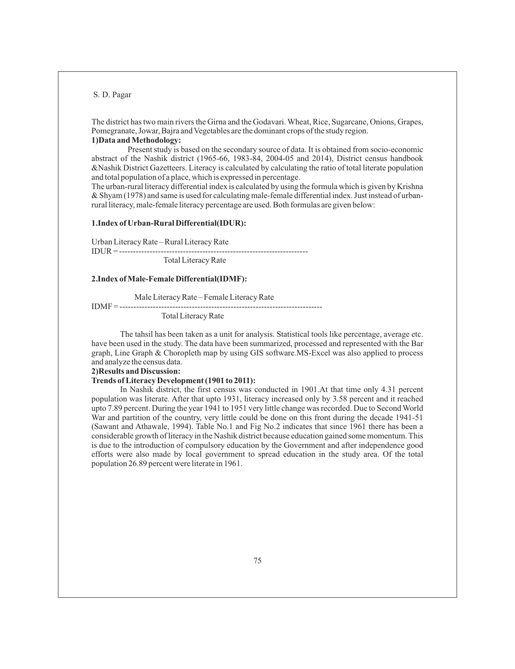The district has two main rivers the Girna and the Godavari. Wheat, Rice, Sugarcane, Onions, Grapes, Pomegranate, Jowar, Bajra and Vegetables are the dominant crops of the study region. **1)Data and Methodology:**

Present study is based on the secondary source of data. It is obtained from socio-economic abstract of the Nashik district (1965-66, 1983-84, 2004-05 and 2014), District census handbook &Nashik District Gazetteers. Literacy is calculated by calculating the ratio of total literate population and total population of a place, which is expressed in percentage.

The urban-rural literacy differential index is calculated by using the formula which is given by Krishna & Shyam (1978) and same is used for calculating male-female differential index. Just instead of urbanrural literacy, male-female literacy percentage are used. Both formulas are given below:

# **1.Index of Urban-Rural Differential(IDUR):**

Urban Literacy Rate – Rural Literacy Rate IDUR = --------------------------------------------------------------------

Total Literacy Rate

### **2.Index of Male-Female Differential(IDMF):**

Male Literacy Rate – Female Literacy Rate

IDMF = -------------------------------------------------------------------------

Total Literacy Rate

The tahsil has been taken as a unit for analysis. Statistical tools like percentage, average etc. have been used in the study. The data have been summarized, processed and represented with the Bar graph, Line Graph & Choropleth map by using GIS software.MS-Excel was also applied to process and analyze the census data.

#### **2)Results and Discussion:**

#### **Trends of Literacy Development (1901 to 2011):**

In Nashik district, the first census was conducted in 1901.At that time only 4.31 percent population was literate. After that upto 1931, literacy increased only by 3.58 percent and it reached upto 7.89 percent. During the year 1941 to 1951 very little change was recorded. Due to Second World War and partition of the country, very little could be done on this front during the decade 1941-51 (Sawant and Athawale, 1994). Table No.1 and Fig No.2 indicates that since 1961 there has been a considerable growth of literacy in the Nashik district because education gained some momentum. This is due to the introduction of compulsory education by the Government and after independence good efforts were also made by local government to spread education in the study area. Of the total population 26.89 percent were literate in 1961.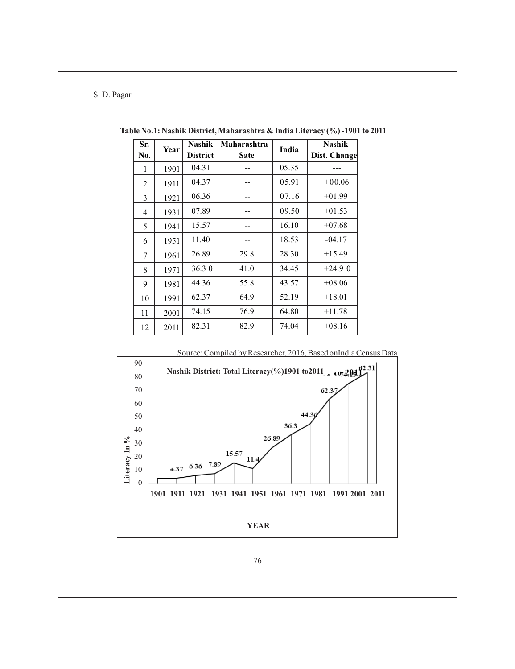| Sr.    | Year | <b>Nashik</b>   | <b>Maharashtra</b> | India | <b>Nashik</b> |
|--------|------|-----------------|--------------------|-------|---------------|
| No.    |      | <b>District</b> | <b>Sate</b>        |       | Dist. Change  |
| 1      | 1901 | 04.31           |                    | 05.35 |               |
| 2      | 1911 | 04.37           |                    | 05.91 | $+00.06$      |
| 3      | 1921 | 06.36           |                    | 07.16 | $+01.99$      |
| 4      | 1931 | 07.89           |                    | 09.50 | $+01.53$      |
| 5      | 1941 | 15.57           |                    | 16.10 | $+07.68$      |
| 6      | 1951 | 11.40           |                    | 18.53 | $-04.17$      |
| $\tau$ | 1961 | 26.89           | 29.8               | 28.30 | $+15.49$      |
| 8      | 1971 | 36.30           | 41.0               | 34.45 | $+24.9$ 0     |
| 9      | 1981 | 44.36           | 55.8               | 43.57 | $+08.06$      |
| 10     | 1991 | 62.37           | 64.9               | 52.19 | $+18.01$      |
| 11     | 2001 | 74.15           | 76.9               | 64.80 | $+11.78$      |
| 12     | 2011 | 82.31           | 82.9               | 74.04 | $+08.16$      |

**Table No.1: Nashik District, Maharashtra & India Literacy (%) -1901 to 2011**

Source: Compiled by Researcher, 2016, Based onIndia Census Data

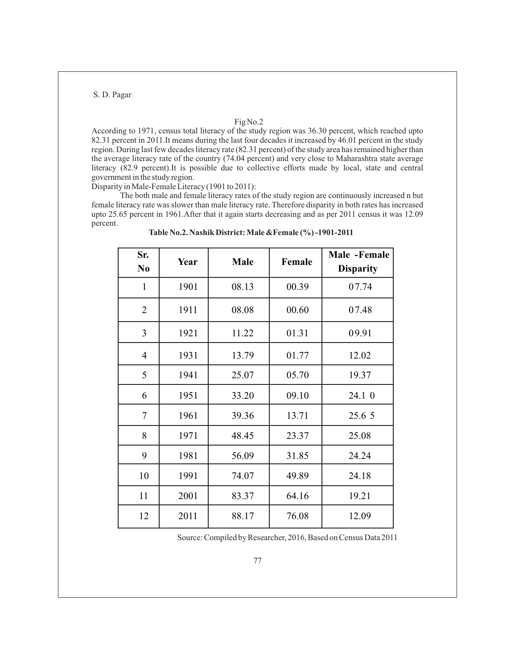### Fig No.2

According to 1971, census total literacy of the study region was 36.30 percent, which reached upto 82.31 percent in 2011.It means during the last four decades it increased by 46.01 percent in the study region. During last few decades literacy rate (82.31 percent) of the study area has remained higher than the average literacy rate of the country (74.04 percent) and very close to Maharashtra state average literacy (82.9 percent).It is possible due to collective efforts made by local, state and central government in the study region.

Disparity in Male-Female Literacy (1901 to 2011):

The both male and female literacy rates of the study region are continuously increased n but female literacy rate was slower than male literacy rate. Therefore disparity in both rates has increased upto 25.65 percent in 1961.After that it again starts decreasing and as per 2011 census it was 12.09 percent.

| Sr.<br>N <sub>0</sub> | Year | <b>Male</b> | Female | Male -Female<br><b>Disparity</b> |  |
|-----------------------|------|-------------|--------|----------------------------------|--|
| $\mathbf{1}$          | 1901 | 08.13       | 00.39  | 07.74                            |  |
| $\overline{2}$        | 1911 | 08.08       | 00.60  | 07.48                            |  |
| $\overline{3}$        | 1921 | 11.22       | 01.31  | 09.91                            |  |
| $\overline{4}$        | 1931 | 13.79       | 01.77  | 12.02                            |  |
| 5                     | 1941 | 25.07       | 05.70  | 19.37                            |  |
| 6                     | 1951 | 33.20       | 09.10  | 24.1 0                           |  |
| 7                     | 1961 | 39.36       | 13.71  | 25.6 5                           |  |
| 8                     | 1971 | 48.45       | 23.37  | 25.08                            |  |
| 9                     | 1981 | 56.09       | 31.85  | 24.24                            |  |
| 10                    | 1991 | 74.07       | 49.89  | 24.18                            |  |
| 11                    | 2001 | 83.37       | 64.16  | 19.21                            |  |
| 12                    | 2011 | 88.17       | 76.08  | 12.09                            |  |

**Table No.2. Nashik District: Male &Female (%) -1901-2011**

Source: Compiled by Researcher, 2016, Based on Census Data 2011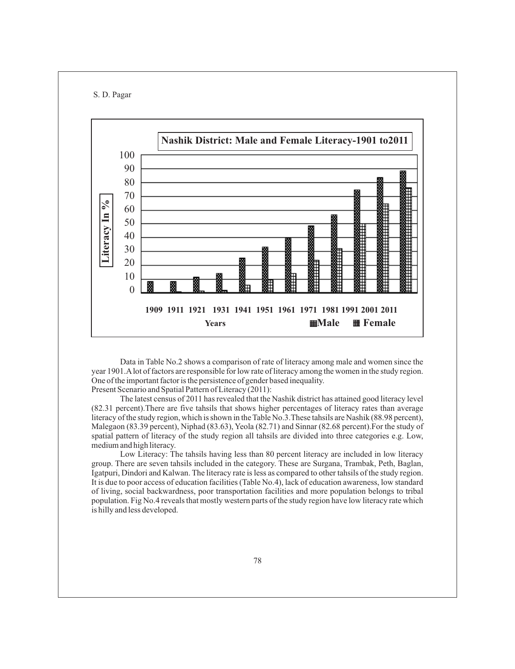



Data in Table No.2 shows a comparison of rate of literacy among male and women since the year 1901.Alot of factors are responsible for low rate of literacy among the women in the study region. One of the important factor is the persistence of gender based inequality.

Present Scenario and Spatial Pattern of Literacy (2011):

The latest census of 2011 has revealed that the Nashik district has attained good literacy level (82.31 percent).There are five tahsils that shows higher percentages of literacy rates than average literacy of the study region, which is shown in the Table No.3.These tahsils are Nashik (88.98 percent), Malegaon (83.39 percent), Niphad (83.63), Yeola (82.71) and Sinnar (82.68 percent).For the study of spatial pattern of literacy of the study region all tahsils are divided into three categories e.g. Low, medium and high literacy.

Low Literacy: The tahsils having less than 80 percent literacy are included in low literacy group. There are seven tahsils included in the category. These are Surgana, Trambak, Peth, Baglan, Igatpuri, Dindori and Kalwan. The literacy rate is less as compared to other tahsils of the study region. It is due to poor access of education facilities (Table No.4), lack of education awareness, low standard of living, social backwardness, poor transportation facilities and more population belongs to tribal population. Fig No.4 reveals that mostly western parts of the study region have low literacy rate which is hilly and less developed.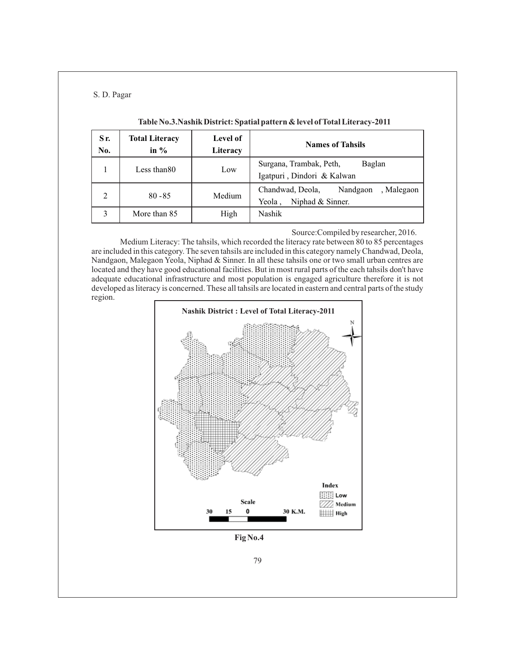| Sr.<br>No.     | <b>Total Literacy</b><br>in $\%$ | Level of<br>Literacy | <b>Names of Tahsils</b>                                                  |  |  |  |
|----------------|----------------------------------|----------------------|--------------------------------------------------------------------------|--|--|--|
|                | Less than 80                     | Low                  | Surgana, Trambak, Peth,<br>Baglan<br>Igatpuri, Dindori & Kalwan          |  |  |  |
| $\overline{2}$ | $80 - 85$                        | Medium               | Chandwad, Deola,<br>Nandgaon<br>, Malegaon<br>Niphad & Sinner.<br>Yeola, |  |  |  |
| 3              | More than 85                     | High                 | Nashik                                                                   |  |  |  |

## **Table No.3.Nashik District: Spatial pattern & level of Total Literacy-2011**

Source:Compiled by researcher, 2016.

Medium Literacy: The tahsils, which recorded the literacy rate between 80 to 85 percentages are included in this category. The seven tahsils are included in this category namely Chandwad, Deola, Nandgaon, Malegaon Yeola, Niphad & Sinner. In all these tahsils one or two small urban centres are located and they have good educational facilities. But in most rural parts of the each tahsils don't have adequate educational infrastructure and most population is engaged agriculture therefore it is not developed as literacy is concerned. These all tahsils are located in eastern and central parts of the study region.

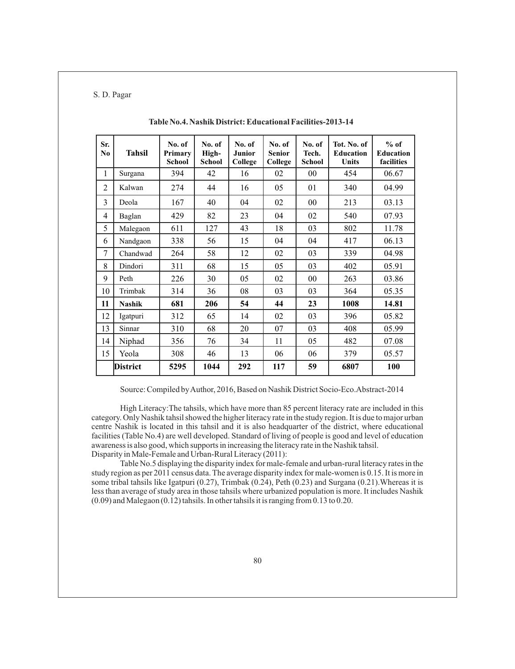| Sr.<br>$\bf No$ | <b>Tahsil</b> | No. of<br>Primary<br><b>School</b> | No. of<br>High-<br><b>School</b> | No. of<br>Junior<br>College | No. of<br><b>Senior</b><br>College | No. of<br>Tech.<br><b>School</b> | Tot. No. of<br><b>Education</b><br><b>Units</b> | $%$ of<br><b>Education</b><br>facilities |
|-----------------|---------------|------------------------------------|----------------------------------|-----------------------------|------------------------------------|----------------------------------|-------------------------------------------------|------------------------------------------|
| $\mathbf{1}$    | Surgana       | 394                                | 42                               | 16                          | 02                                 | 00                               | 454                                             | 06.67                                    |
| $\overline{2}$  | Kalwan        | 274                                | 44                               | 16                          | 05                                 | 01                               | 340                                             | 04.99                                    |
| 3               | Deola         | 167                                | 40                               | 04                          | 02                                 | 00                               | 213                                             | 03.13                                    |
| 4               | Baglan        | 429                                | 82                               | 23                          | 04                                 | 02                               | 540                                             | 07.93                                    |
| 5               | Malegaon      | 611                                | 127                              | 43                          | 18                                 | 03                               | 802                                             | 11.78                                    |
| 6               | Nandgaon      | 338                                | 56                               | 15                          | 04                                 | 04                               | 417                                             | 06.13                                    |
| 7               | Chandwad      | 264                                | 58                               | 12                          | 02                                 | 03                               | 339                                             | 04.98                                    |
| 8               | Dindori       | 311                                | 68                               | 15                          | 05                                 | 03                               | 402                                             | 05.91                                    |
| 9               | Peth          | 226                                | 30                               | 05                          | 02                                 | 00                               | 263                                             | 03.86                                    |
| 10              | Trimbak       | 314                                | 36                               | 08                          | 03                                 | 03                               | 364                                             | 05.35                                    |
| 11              | <b>Nashik</b> | 681                                | 206                              | 54                          | 44                                 | 23                               | 1008                                            | 14.81                                    |
| 12              | Igatpuri      | 312                                | 65                               | 14                          | 02                                 | 03                               | 396                                             | 05.82                                    |
| 13              | Sinnar        | 310                                | 68                               | 20                          | 07                                 | 03                               | 408                                             | 05.99                                    |
| 14              | Niphad        | 356                                | 76                               | 34                          | 11                                 | 05                               | 482                                             | 07.08                                    |
| 15              | Yeola         | 308                                | 46                               | 13                          | 06                                 | 06                               | 379                                             | 05.57                                    |
|                 | District      | 5295                               | 1044                             | 292                         | 117                                | 59                               | 6807                                            | 100                                      |

**Table No.4. Nashik District: Educational Facilities-2013-14**

Source: Compiled by Author, 2016, Based on Nashik District Socio-Eco.Abstract-2014

High Literacy:The tahsils, which have more than 85 percent literacy rate are included in this category. Only Nashik tahsil showed the higher literacy rate in the study region. It is due to major urban centre Nashik is located in this tahsil and it is also headquarter of the district, where educational facilities (Table No.4) are well developed. Standard of living of people is good and level of education awareness is also good, which supports in increasing the literacy rate in the Nashik tahsil. Disparity in Male-Female and Urban-Rural Literacy (2011):

Table No.5 displaying the disparity index for male-female and urban-rural literacy rates in the study region as per 2011 census data. The average disparity index for male-women is 0.15. It is more in some tribal tahsils like Igatpuri (0.27), Trimbak (0.24), Peth (0.23) and Surgana (0.21).Whereas it is less than average of study area in those tahsils where urbanized population is more. It includes Nashik (0.09) and Malegaon (0.12) tahsils. In other tahsils it is ranging from 0.13 to 0.20.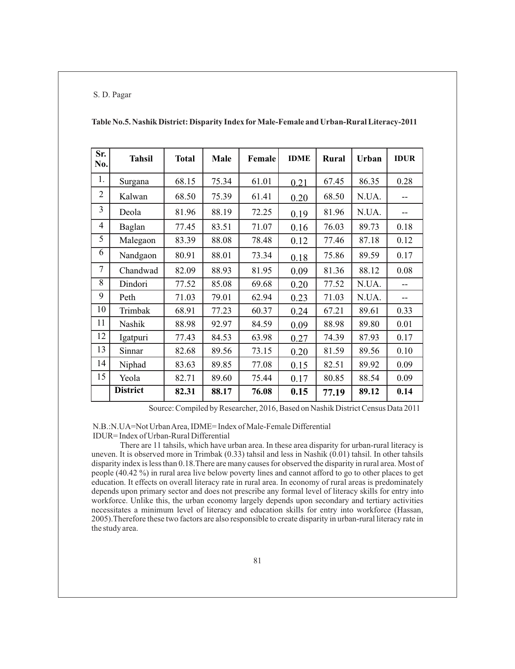| Sr.<br>No.     | <b>Tahsil</b>   | <b>Total</b> | <b>Male</b> | Female | <b>IDME</b> | <b>Rural</b> | <b>Urban</b> | <b>IDUR</b> |
|----------------|-----------------|--------------|-------------|--------|-------------|--------------|--------------|-------------|
| 1.             | Surgana         | 68.15        | 75.34       | 61.01  | 0.21        | 67.45        | 86.35        | 0.28        |
| $\overline{2}$ | Kalwan          | 68.50        | 75.39       | 61.41  | 0.20        | 68.50        | N.UA.        |             |
| 3              | Deola           | 81.96        | 88.19       | 72.25  | 0.19        | 81.96        | N.UA.        |             |
| $\overline{4}$ | Baglan          | 77.45        | 83.51       | 71.07  | 0.16        | 76.03        | 89.73        | 0.18        |
| 5              | Malegaon        | 83.39        | 88.08       | 78.48  | 0.12        | 77.46        | 87.18        | 0.12        |
| 6              | Nandgaon        | 80.91        | 88.01       | 73.34  | 0.18        | 75.86        | 89.59        | 0.17        |
| $\overline{7}$ | Chandwad        | 82.09        | 88.93       | 81.95  | 0.09        | 81.36        | 88.12        | 0.08        |
| 8              | Dindori         | 77.52        | 85.08       | 69.68  | 0.20        | 77.52        | N.UA.        |             |
| 9              | Peth            | 71.03        | 79.01       | 62.94  | 0.23        | 71.03        | N.UA.        | --          |
| 10             | Trimbak         | 68.91        | 77.23       | 60.37  | 0.24        | 67.21        | 89.61        | 0.33        |
| 11             | Nashik          | 88.98        | 92.97       | 84.59  | 0.09        | 88.98        | 89.80        | 0.01        |
| 12             | Igatpuri        | 77.43        | 84.53       | 63.98  | 0.27        | 74.39        | 87.93        | 0.17        |
| 13             | Sinnar          | 82.68        | 89.56       | 73.15  | 0.20        | 81.59        | 89.56        | 0.10        |
| 14             | Niphad          | 83.63        | 89.85       | 77.08  | 0.15        | 82.51        | 89.92        | 0.09        |
| 15             | Yeola           | 82.71        | 89.60       | 75.44  | 0.17        | 80.85        | 88.54        | 0.09        |
|                | <b>District</b> | 82.31        | 88.17       | 76.08  | 0.15        | 77.19        | 89.12        | 0.14        |

**Table No.5. Nashik District: Disparity Index forMale-Female and Urban-Rural Literacy-2011**

Source: Compiled by Researcher, 2016, Based on Nashik District Census Data 2011

N.B.:N.UA=Not Urban Area, IDME= Index of Male-Female Differential

IDUR= Index of Urban-Rural Differential

There are 11 tahsils, which have urban area. In these area disparity for urban-rural literacy is uneven. It is observed more in Trimbak (0.33) tahsil and less in Nashik (0.01) tahsil. In other tahsils disparity index is less than 0.18.There are many causes for observed the disparity in rural area. Most of people (40.42 %) in rural area live below poverty lines and cannot afford to go to other places to get education. It effects on overall literacy rate in rural area. In economy of rural areas is predominately depends upon primary sector and does not prescribe any formal level of literacy skills for entry into workforce. Unlike this, the urban economy largely depends upon secondary and tertiary activities necessitates a minimum level of literacy and education skills for entry into workforce (Hassan, 2005).Therefore these two factors are also responsible to create disparity in urban-rural literacy rate in the study area.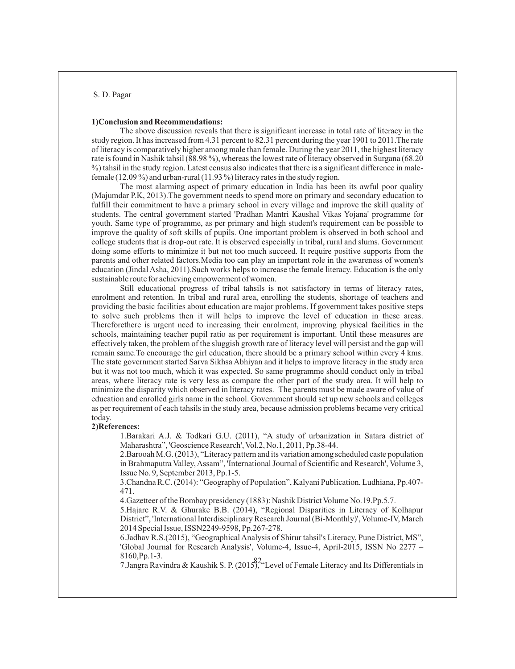#### **1)Conclusion and Recommendations:**

The above discussion reveals that there is significant increase in total rate of literacy in the study region. It has increased from 4.31 percent to 82.31 percent during the year 1901 to 2011.The rate of literacy is comparatively higher among male than female. During the year 2011, the highest literacy rate is found in Nashik tahsil (88.98 %), whereas the lowest rate of literacy observed in Surgana (68.20 %) tahsil in the study region. Latest census also indicates that there is a significant difference in malefemale (12.09 %) and urban-rural (11.93 %) literacy rates in the study region.

The most alarming aspect of primary education in India has been its awful poor quality (Majumdar P.K, 2013).The government needs to spend more on primary and secondary education to fulfill their commitment to have a primary school in every village and improve the skill quality of students. The central government started 'Pradhan Mantri Kaushal Vikas Yojana' programme for youth. Same type of programme, as per primary and high student's requirement can be possible to improve the quality of soft skills of pupils. One important problem is observed in both school and college students that is drop-out rate. It is observed especially in tribal, rural and slums. Government doing some efforts to minimize it but not too much succeed. It require positive supports from the parents and other related factors.Media too can play an important role in the awareness of women's education (Jindal Asha, 2011).Such works helps to increase the female literacy. Education is the only sustainable route for achieving empowerment of women.

Still educational progress of tribal tahsils is not satisfactory in terms of literacy rates, enrolment and retention. In tribal and rural area, enrolling the students, shortage of teachers and providing the basic facilities about education are major problems. If government takes positive steps to solve such problems then it will helps to improve the level of education in these areas. Thereforethere is urgent need to increasing their enrolment, improving physical facilities in the schools, maintaining teacher pupil ratio as per requirement is important. Until these measures are effectively taken, the problem of the sluggish growth rate of literacy level will persist and the gap will remain same.To encourage the girl education, there should be a primary school within every 4 kms. The state government started Sarva Sikhsa Abhiyan and it helps to improve literacy in the study area but it was not too much, which it was expected. So same programme should conduct only in tribal areas, where literacy rate is very less as compare the other part of the study area. It will help to minimize the disparity which observed in literacy rates. The parents must be made aware of value of education and enrolled girls name in the school. Government should set up new schools and colleges as per requirement of each tahsils in the study area, because admission problems became very critical today.

#### **2)References:**

1.Barakari A.J. & Todkari G.U. (2011), "A study of urbanization in Satara district of Maharashtra", 'Geoscience Research', Vol.2, No.1, 2011, Pp.38-44.

2.Barooah M.G. (2013), "Literacy pattern and its variation among scheduled caste population in Brahmaputra Valley, Assam", 'International Journal of Scientific and Research', Volume 3, Issue No. 9, September 2013, Pp.1-5.

3.Chandna R.C. (2014): "Geography of Population", Kalyani Publication, Ludhiana, Pp.407- 471.

4.Gazetteer of the Bombay presidency (1883): Nashik District Volume No.19.Pp.5.7.

5.Hajare R.V. & Ghurake B.B. (2014), "Regional Disparities in Literacy of Kolhapur District", 'International Interdisciplinary Research Journal (Bi-Monthly)', Volume-IV, March 2014 Special Issue, ISSN2249-9598, Pp.267-278.

6.Jadhav R.S.(2015), "Geographical Analysis of Shirur tahsil's Literacy, Pune District, MS", 'Global Journal for Research Analysis', Volume-4, Issue-4, April-2015, ISSN No 2277 – 8160,Pp.1-3.

7.Jangra Ravindra & Kaushik S. P. (2015), "Level of Female Literacy and Its Differentials in 82